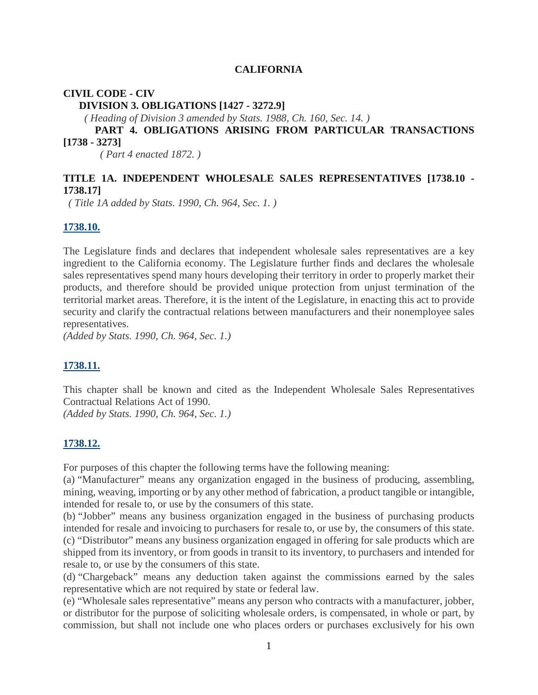#### **CALIFORNIA**

#### **CIVIL CODE - CIV**

**DIVISION 3. OBLIGATIONS [1427 - 3272.9]**

*( Heading of Division 3 amended by Stats. 1988, Ch. 160, Sec. 14. )*

### **PART 4. OBLIGATIONS ARISING FROM PARTICULAR TRANSACTIONS [1738 - 3273]**

*( Part 4 enacted 1872. )*

### **TITLE 1A. INDEPENDENT WHOLESALE SALES REPRESENTATIVES [1738.10 - 1738.17]**

*( Title 1A added by Stats. 1990, Ch. 964, Sec. 1. )*

#### **1738.10.**

The Legislature finds and declares that independent wholesale sales representatives are a key ingredient to the California economy. The Legislature further finds and declares the wholesale sales representatives spend many hours developing their territory in order to properly market their products, and therefore should be provided unique protection from unjust termination of the territorial market areas. Therefore, it is the intent of the Legislature, in enacting this act to provide security and clarify the contractual relations between manufacturers and their nonemployee sales representatives.

*(Added by Stats. 1990, Ch. 964, Sec. 1.)*

#### **1738.11.**

This chapter shall be known and cited as the Independent Wholesale Sales Representatives Contractual Relations Act of 1990.

*(Added by Stats. 1990, Ch. 964, Sec. 1.)*

### **1738.12.**

For purposes of this chapter the following terms have the following meaning:

(a) "Manufacturer" means any organization engaged in the business of producing, assembling, mining, weaving, importing or by any other method of fabrication, a product tangible or intangible, intended for resale to, or use by the consumers of this state.

(b) "Jobber" means any business organization engaged in the business of purchasing products intended for resale and invoicing to purchasers for resale to, or use by, the consumers of this state. (c) "Distributor" means any business organization engaged in offering for sale products which are shipped from its inventory, or from goods in transit to its inventory, to purchasers and intended for resale to, or use by the consumers of this state.

(d) "Chargeback" means any deduction taken against the commissions earned by the sales representative which are not required by state or federal law.

(e) "Wholesale sales representative" means any person who contracts with a manufacturer, jobber, or distributor for the purpose of soliciting wholesale orders, is compensated, in whole or part, by commission, but shall not include one who places orders or purchases exclusively for his own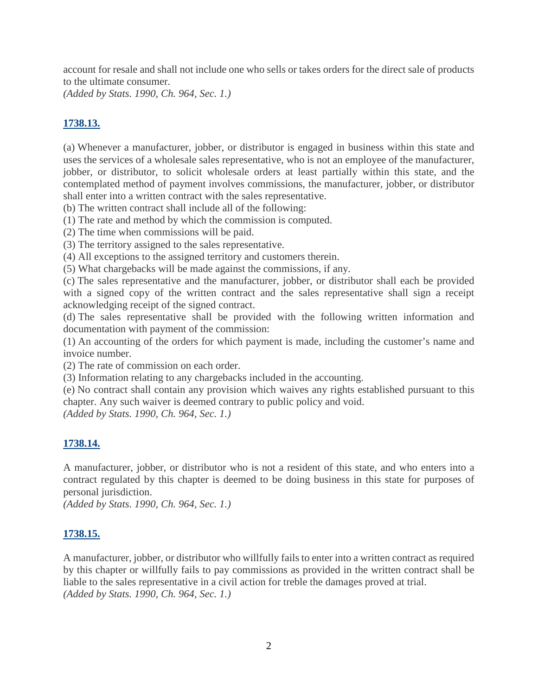account for resale and shall not include one who sells or takes orders for the direct sale of products to the ultimate consumer.

*(Added by Stats. 1990, Ch. 964, Sec. 1.)*

# **1738.13.**

(a) Whenever a manufacturer, jobber, or distributor is engaged in business within this state and uses the services of a wholesale sales representative, who is not an employee of the manufacturer, jobber, or distributor, to solicit wholesale orders at least partially within this state, and the contemplated method of payment involves commissions, the manufacturer, jobber, or distributor shall enter into a written contract with the sales representative.

(b) The written contract shall include all of the following:

(1) The rate and method by which the commission is computed.

(2) The time when commissions will be paid.

(3) The territory assigned to the sales representative.

(4) All exceptions to the assigned territory and customers therein.

(5) What chargebacks will be made against the commissions, if any.

(c) The sales representative and the manufacturer, jobber, or distributor shall each be provided with a signed copy of the written contract and the sales representative shall sign a receipt acknowledging receipt of the signed contract.

(d) The sales representative shall be provided with the following written information and documentation with payment of the commission:

(1) An accounting of the orders for which payment is made, including the customer's name and invoice number.

(2) The rate of commission on each order.

(3) Information relating to any chargebacks included in the accounting.

(e) No contract shall contain any provision which waives any rights established pursuant to this chapter. Any such waiver is deemed contrary to public policy and void.

*(Added by Stats. 1990, Ch. 964, Sec. 1.)*

### **1738.14.**

A manufacturer, jobber, or distributor who is not a resident of this state, and who enters into a contract regulated by this chapter is deemed to be doing business in this state for purposes of personal jurisdiction.

*(Added by Stats. 1990, Ch. 964, Sec. 1.)*

### **1738.15.**

A manufacturer, jobber, or distributor who willfully fails to enter into a written contract as required by this chapter or willfully fails to pay commissions as provided in the written contract shall be liable to the sales representative in a civil action for treble the damages proved at trial. *(Added by Stats. 1990, Ch. 964, Sec. 1.)*